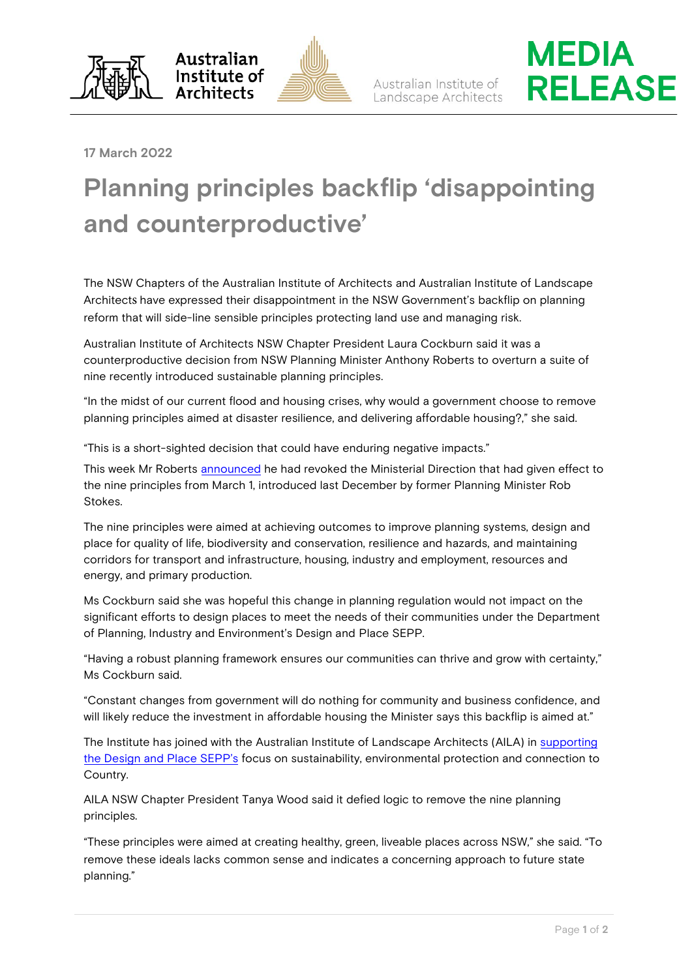





## **17 March 2022**

## **Planning principles backflip 'disappointing and counterproductive'**

The NSW Chapters of the Australian Institute of Architects and Australian Institute of Landscape Architects have expressed their disappointment in the NSW Government's backflip on planning reform that will side-line sensible principles protecting land use and managing risk.

Australian Institute of Architects NSW Chapter President Laura Cockburn said it was a counterproductive decision from NSW Planning Minister Anthony Roberts to overturn a suite of nine recently introduced sustainable planning principles.

"In the midst of our current flood and housing crises, why would a government choose to remove planning principles aimed at disaster resilience, and delivering affordable housing?," she said.

"This is a short-sighted decision that could have enduring negative impacts."

This week Mr Roberts [announced](https://www.planning.nsw.gov.au/News/2022/Minister-planning-principles) he had revoked the Ministerial Direction that had given effect to the nine principles from March 1, introduced last December by former Planning Minister Rob Stokes.

The nine principles were aimed at achieving outcomes to improve planning systems, design and place for quality of life, biodiversity and conservation, resilience and hazards, and maintaining corridors for transport and infrastructure, housing, industry and employment, resources and energy, and primary production.

Ms Cockburn said she was hopeful this change in planning regulation would not impact on the significant efforts to design places to meet the needs of their communities under the Department of Planning, Industry and Environment's Design and Place SEPP.

"Having a robust planning framework ensures our communities can thrive and grow with certainty," Ms Cockburn said.

"Constant changes from government will do nothing for community and business confidence, and will likely reduce the investment in affordable housing the Minister says this backflip is aimed at."

The Institute has joined with the Australian Institute of Landscape Architects (AILA) in supporting [the Design and Place SEPP's](https://www.architecture.com.au/archives/news_media_articles/architects-welcome-release-of-design-and-place-sepp-as-a-win-for-communities) focus on sustainability, environmental protection and connection to Country.

AILA NSW Chapter President Tanya Wood said it defied logic to remove the nine planning principles.

"These principles were aimed at creating healthy, green, liveable places across NSW," she said. "To remove these ideals lacks common sense and indicates a concerning approach to future state planning."